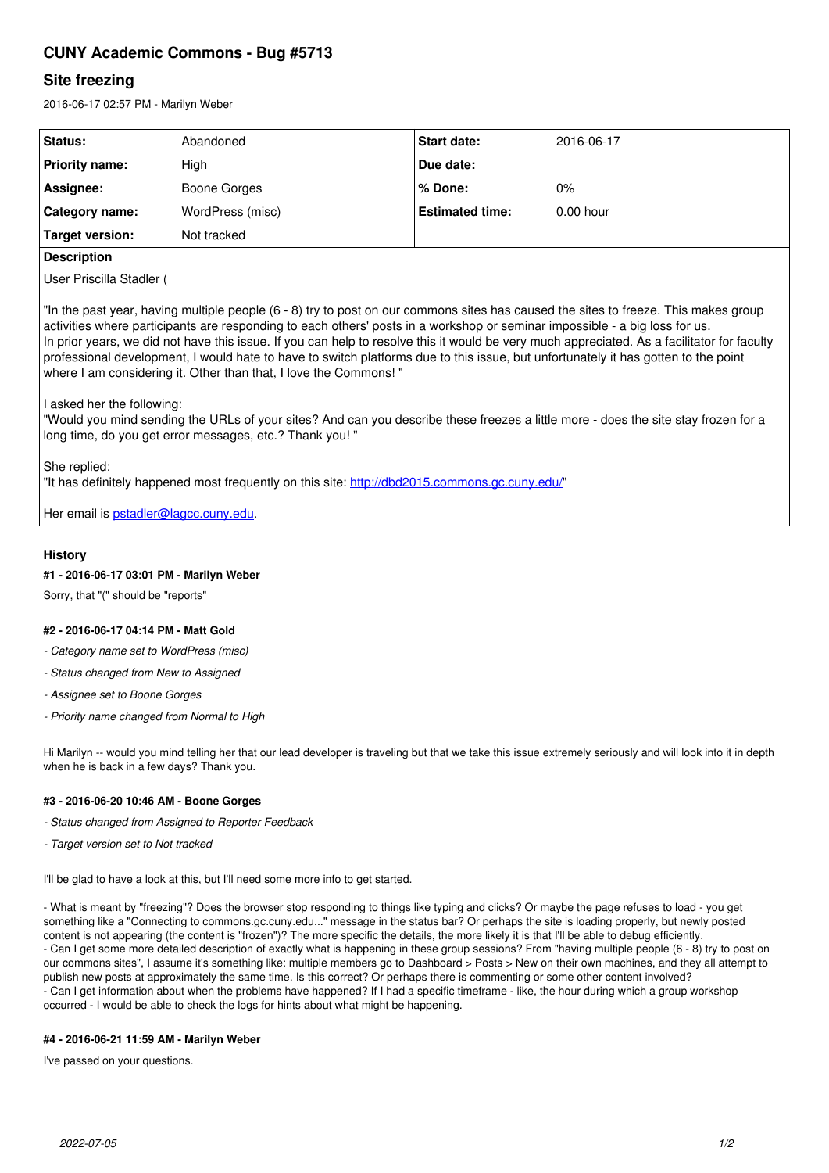# **CUNY Academic Commons - Bug #5713**

# **Site freezing**

2016-06-17 02:57 PM - Marilyn Weber

| Status:         | Abandoned        | <b>Start date:</b>     | 2016-06-17  |
|-----------------|------------------|------------------------|-------------|
| Priority name:  | High             | Due date:              |             |
| Assignee:       | Boone Gorges     | ∣% Done:               | $0\%$       |
| Category name:  | WordPress (misc) | <b>Estimated time:</b> | $0.00$ hour |
| Target version: | Not tracked      |                        |             |

# **Description**

User Priscilla Stadler (

"In the past year, having multiple people (6 - 8) try to post on our commons sites has caused the sites to freeze. This makes group activities where participants are responding to each others' posts in a workshop or seminar impossible - a big loss for us. In prior years, we did not have this issue. If you can help to resolve this it would be very much appreciated. As a facilitator for faculty professional development, I would hate to have to switch platforms due to this issue, but unfortunately it has gotten to the point where I am considering it. Other than that, I love the Commons! "

I asked her the following:

"Would you mind sending the URLs of your sites? And can you describe these freezes a little more - does the site stay frozen for a long time, do you get error messages, etc.? Thank you! "

She replied:

"It has definitely happened most frequently on this site: <http://dbd2015.commons.gc.cuny.edu/>"

Her email is **pstadler@lagcc.cuny.edu**.

# **History**

#### **#1 - 2016-06-17 03:01 PM - Marilyn Weber**

Sorry, that "(" should be "reports"

#### **#2 - 2016-06-17 04:14 PM - Matt Gold**

- *Category name set to WordPress (misc)*
- *Status changed from New to Assigned*
- *Assignee set to Boone Gorges*
- *Priority name changed from Normal to High*

Hi Marilyn -- would you mind telling her that our lead developer is traveling but that we take this issue extremely seriously and will look into it in depth when he is back in a few days? Thank you.

#### **#3 - 2016-06-20 10:46 AM - Boone Gorges**

- *Status changed from Assigned to Reporter Feedback*
- *Target version set to Not tracked*

I'll be glad to have a look at this, but I'll need some more info to get started.

- What is meant by "freezing"? Does the browser stop responding to things like typing and clicks? Or maybe the page refuses to load - you get something like a "Connecting to commons.gc.cuny.edu..." message in the status bar? Or perhaps the site is loading properly, but newly posted content is not appearing (the content is "frozen")? The more specific the details, the more likely it is that I'll be able to debug efficiently. - Can I get some more detailed description of exactly what is happening in these group sessions? From "having multiple people (6 - 8) try to post on our commons sites", I assume it's something like: multiple members go to Dashboard > Posts > New on their own machines, and they all attempt to publish new posts at approximately the same time. Is this correct? Or perhaps there is commenting or some other content involved? - Can I get information about when the problems have happened? If I had a specific timeframe - like, the hour during which a group workshop occurred - I would be able to check the logs for hints about what might be happening.

#### **#4 - 2016-06-21 11:59 AM - Marilyn Weber**

I've passed on your questions.